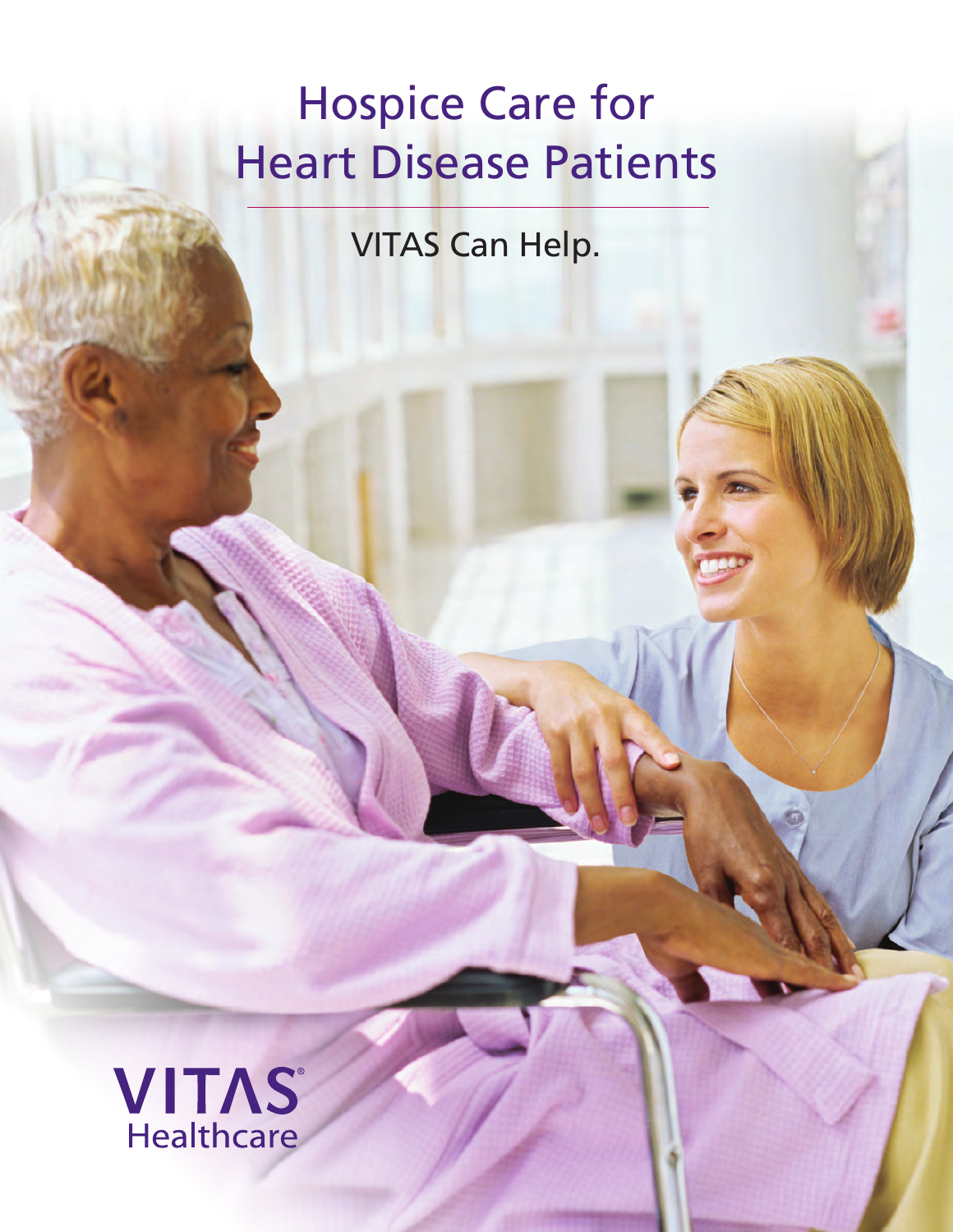# Hospice Care for Heart Disease Patients

VITAS Can Help.

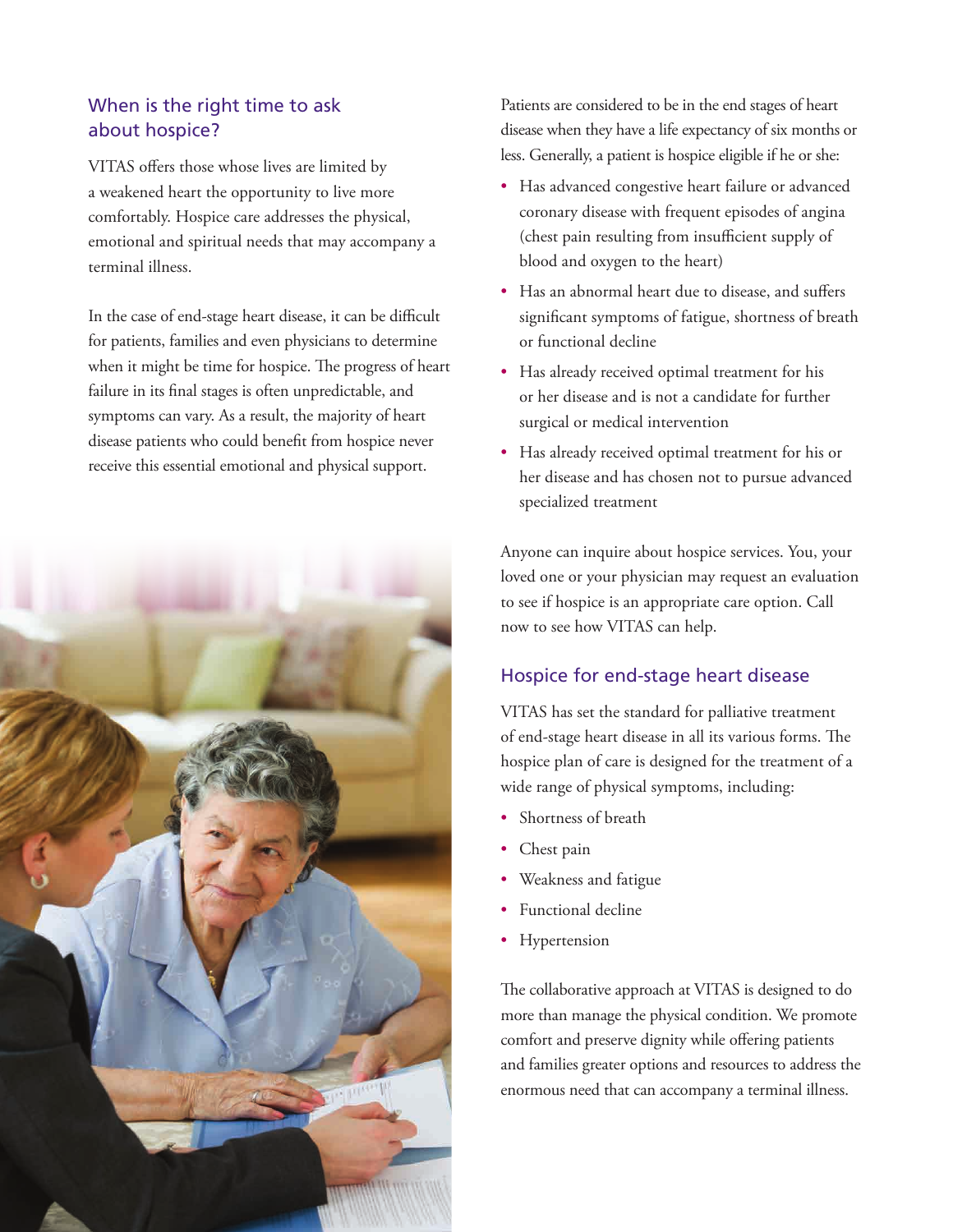## When is the right time to ask about hospice?

VITAS offers those whose lives are limited by a weakened heart the opportunity to live more comfortably. Hospice care addresses the physical, emotional and spiritual needs that may accompany a terminal illness.

In the case of end-stage heart disease, it can be difficult for patients, families and even physicians to determine when it might be time for hospice. The progress of heart failure in its final stages is often unpredictable, and symptoms can vary. As a result, the majority of heart disease patients who could benefit from hospice never receive this essential emotional and physical support.



Patients are considered to be in the end stages of heart disease when they have a life expectancy of six months or less. Generally, a patient is hospice eligible if he or she:

- Has advanced congestive heart failure or advanced coronary disease with frequent episodes of angina (chest pain resulting from insufficient supply of blood and oxygen to the heart)
- Has an abnormal heart due to disease, and suffers significant symptoms of fatigue, shortness of breath or functional decline
- Has already received optimal treatment for his or her disease and is not a candidate for further surgical or medical intervention
- Has already received optimal treatment for his or her disease and has chosen not to pursue advanced specialized treatment

Anyone can inquire about hospice services. You, your loved one or your physician may request an evaluation to see if hospice is an appropriate care option. Call now to see how VITAS can help.

### Hospice for end-stage heart disease

VITAS has set the standard for palliative treatment of end-stage heart disease in all its various forms. The hospice plan of care is designed for the treatment of a wide range of physical symptoms, including:

- Shortness of breath
- Chest pain
- Weakness and fatigue
- Functional decline
- **Hypertension**

The collaborative approach at VITAS is designed to do more than manage the physical condition. We promote comfort and preserve dignity while offering patients and families greater options and resources to address the enormous need that can accompany a terminal illness.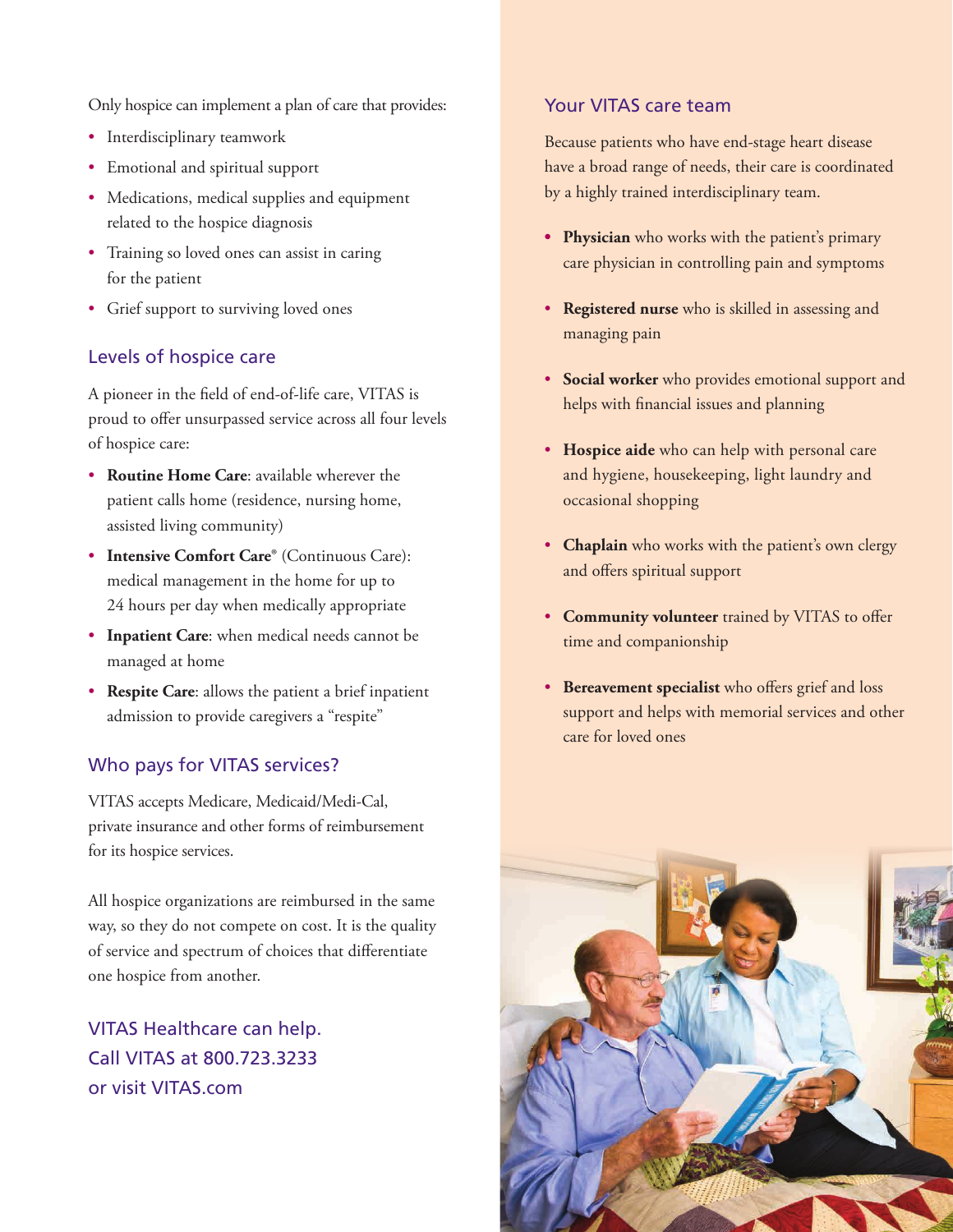Only hospice can implement a plan of care that provides:

- Interdisciplinary teamwork
- Emotional and spiritual support
- Medications, medical supplies and equipment related to the hospice diagnosis
- Training so loved ones can assist in caring for the patient
- Grief support to surviving loved ones

#### Levels of hospice care

A pioneer in the field of end-of-life care, VITAS is proud to offer unsurpassed service across all four levels of hospice care:

- **Routine Home Care**: available wherever the patient calls home (residence, nursing home, assisted living community)
- **Intensive Comfort Care®** (Continuous Care): medical management in the home for up to 24 hours per day when medically appropriate
- **Inpatient Care**: when medical needs cannot be managed at home
- **Respite Care**: allows the patient a brief inpatient admission to provide caregivers a "respite"

#### Who pays for VITAS services?

VITAS accepts Medicare, Medicaid/Medi-Cal, private insurance and other forms of reimbursement for its hospice services.

All hospice organizations are reimbursed in the same way, so they do not compete on cost. It is the quality of service and spectrum of choices that differentiate one hospice from another.

VITAS Healthcare can help. Call VITAS at 800.723.3233 or visit VITAS.com

#### Your VITAS care team

Because patients who have end-stage heart disease have a broad range of needs, their care is coordinated by a highly trained interdisciplinary team.

- **• Physician** who works with the patient's primary care physician in controlling pain and symptoms
- **Registered nurse** who is skilled in assessing and managing pain
- **Social worker** who provides emotional support and helps with financial issues and planning
- **Hospice aide** who can help with personal care and hygiene, housekeeping, light laundry and occasional shopping
- **Chaplain** who works with the patient's own clergy and offers spiritual support
- **Community volunteer** trained by VITAS to offer time and companionship
- **Bereavement specialist** who offers grief and loss support and helps with memorial services and other care for loved ones